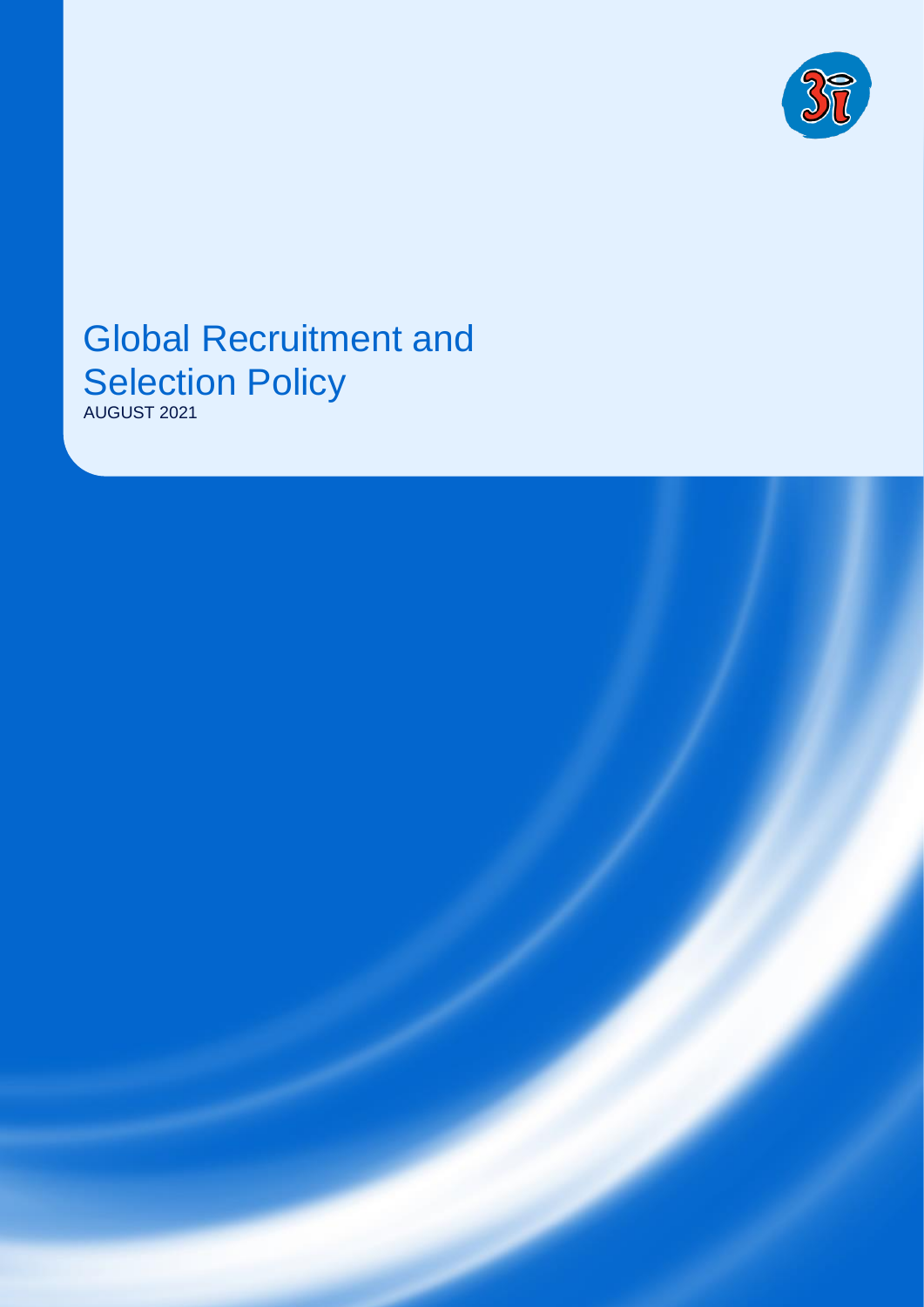

# Global Recruitment and **Selection Policy**

AUGUST 2021

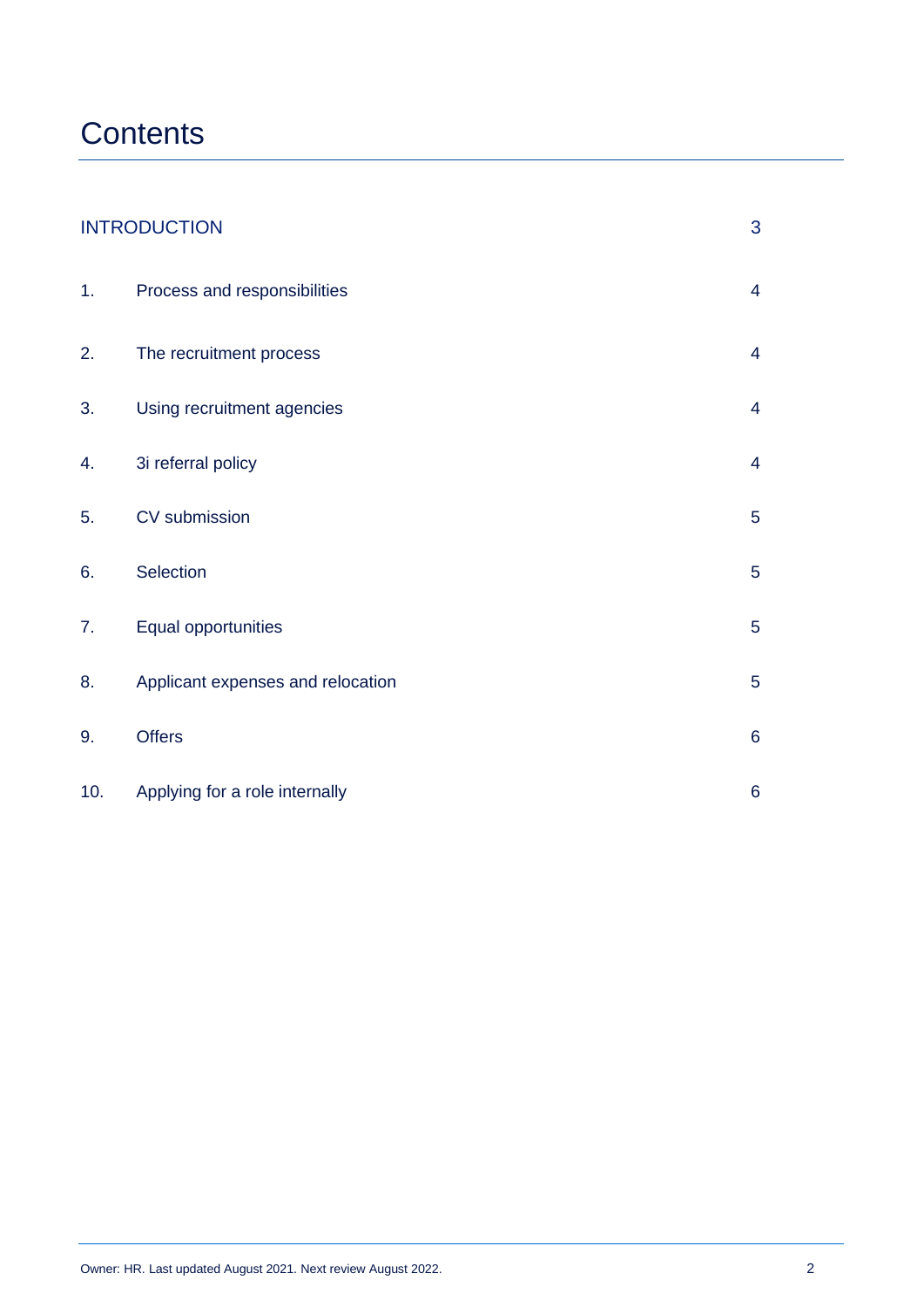# **Contents**

| <b>INTRODUCTION</b> |                                   | 3               |
|---------------------|-----------------------------------|-----------------|
| 1.                  | Process and responsibilities      | $\overline{4}$  |
| 2.                  | The recruitment process           | $\overline{4}$  |
| 3.                  | Using recruitment agencies        | $\overline{4}$  |
| 4.                  | 3i referral policy                | $\overline{4}$  |
| 5.                  | CV submission                     | $\overline{5}$  |
| 6.                  | Selection                         | $\overline{5}$  |
| 7.                  | Equal opportunities               | $\overline{5}$  |
| 8.                  | Applicant expenses and relocation | $\overline{5}$  |
| 9.                  | <b>Offers</b>                     | $\,6\,$         |
| 10.                 | Applying for a role internally    | $6\phantom{1}6$ |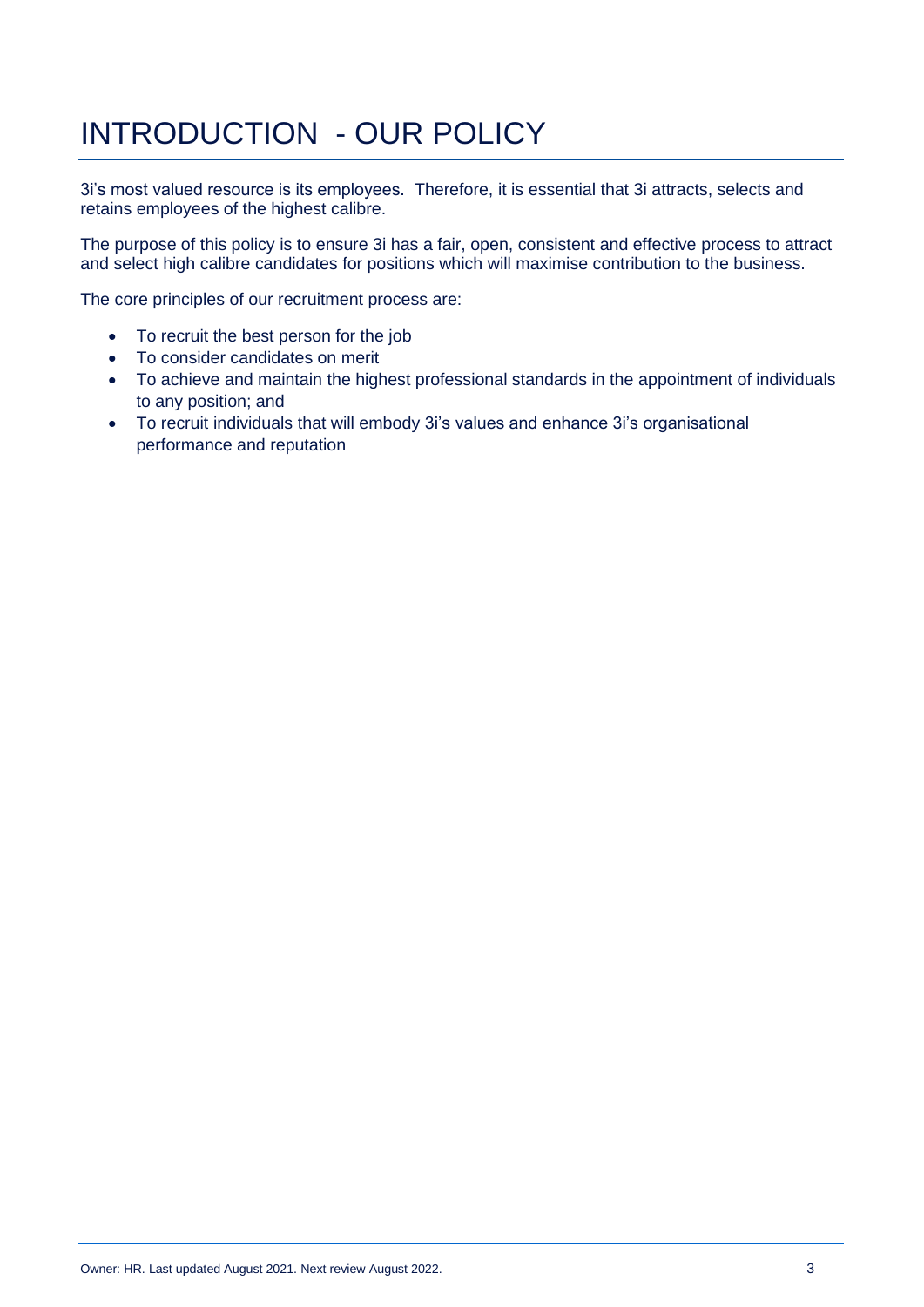# INTRODUCTION - OUR POLICY

3i's most valued resource is its employees. Therefore, it is essential that 3i attracts, selects and retains employees of the highest calibre.

The purpose of this policy is to ensure 3i has a fair, open, consistent and effective process to attract and select high calibre candidates for positions which will maximise contribution to the business.

The core principles of our recruitment process are:

- To recruit the best person for the job
- To consider candidates on merit
- To achieve and maintain the highest professional standards in the appointment of individuals to any position; and
- To recruit individuals that will embody 3i's values and enhance 3i's organisational performance and reputation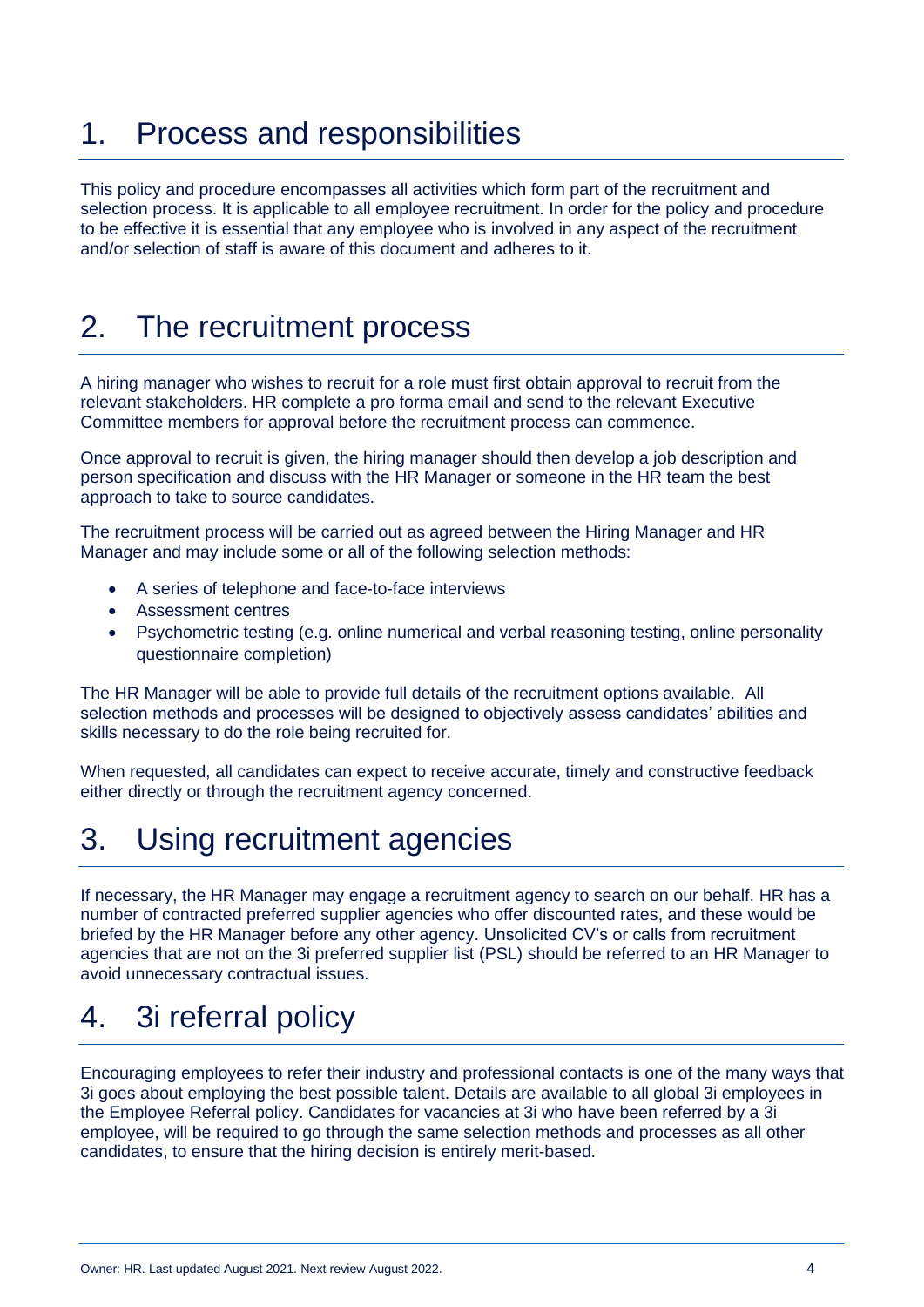# 1. Process and responsibilities

This policy and procedure encompasses all activities which form part of the recruitment and selection process. It is applicable to all employee recruitment. In order for the policy and procedure to be effective it is essential that any employee who is involved in any aspect of the recruitment and/or selection of staff is aware of this document and adheres to it.

# 2. The recruitment process

A hiring manager who wishes to recruit for a role must first obtain approval to recruit from the relevant stakeholders. HR complete a pro forma email and send to the relevant Executive Committee members for approval before the recruitment process can commence.

Once approval to recruit is given, the hiring manager should then develop a job description and person specification and discuss with the HR Manager or someone in the HR team the best approach to take to source candidates.

The recruitment process will be carried out as agreed between the Hiring Manager and HR Manager and may include some or all of the following selection methods:

- A series of telephone and face-to-face interviews
- Assessment centres
- Psychometric testing (e.g. online numerical and verbal reasoning testing, online personality questionnaire completion)

The HR Manager will be able to provide full details of the recruitment options available. All selection methods and processes will be designed to objectively assess candidates' abilities and skills necessary to do the role being recruited for.

When requested, all candidates can expect to receive accurate, timely and constructive feedback either directly or through the recruitment agency concerned.

# 3. Using recruitment agencies

If necessary, the HR Manager may engage a recruitment agency to search on our behalf. HR has a number of contracted preferred supplier agencies who offer discounted rates, and these would be briefed by the HR Manager before any other agency. Unsolicited CV's or calls from recruitment agencies that are not on the 3i preferred supplier list (PSL) should be referred to an HR Manager to avoid unnecessary contractual issues.

# 4. 3i referral policy

Encouraging employees to refer their industry and professional contacts is one of the many ways that 3i goes about employing the best possible talent. Details are available to all global 3i employees in the Employee Referral policy. Candidates for vacancies at 3i who have been referred by a 3i employee, will be required to go through the same selection methods and processes as all other candidates, to ensure that the hiring decision is entirely merit-based.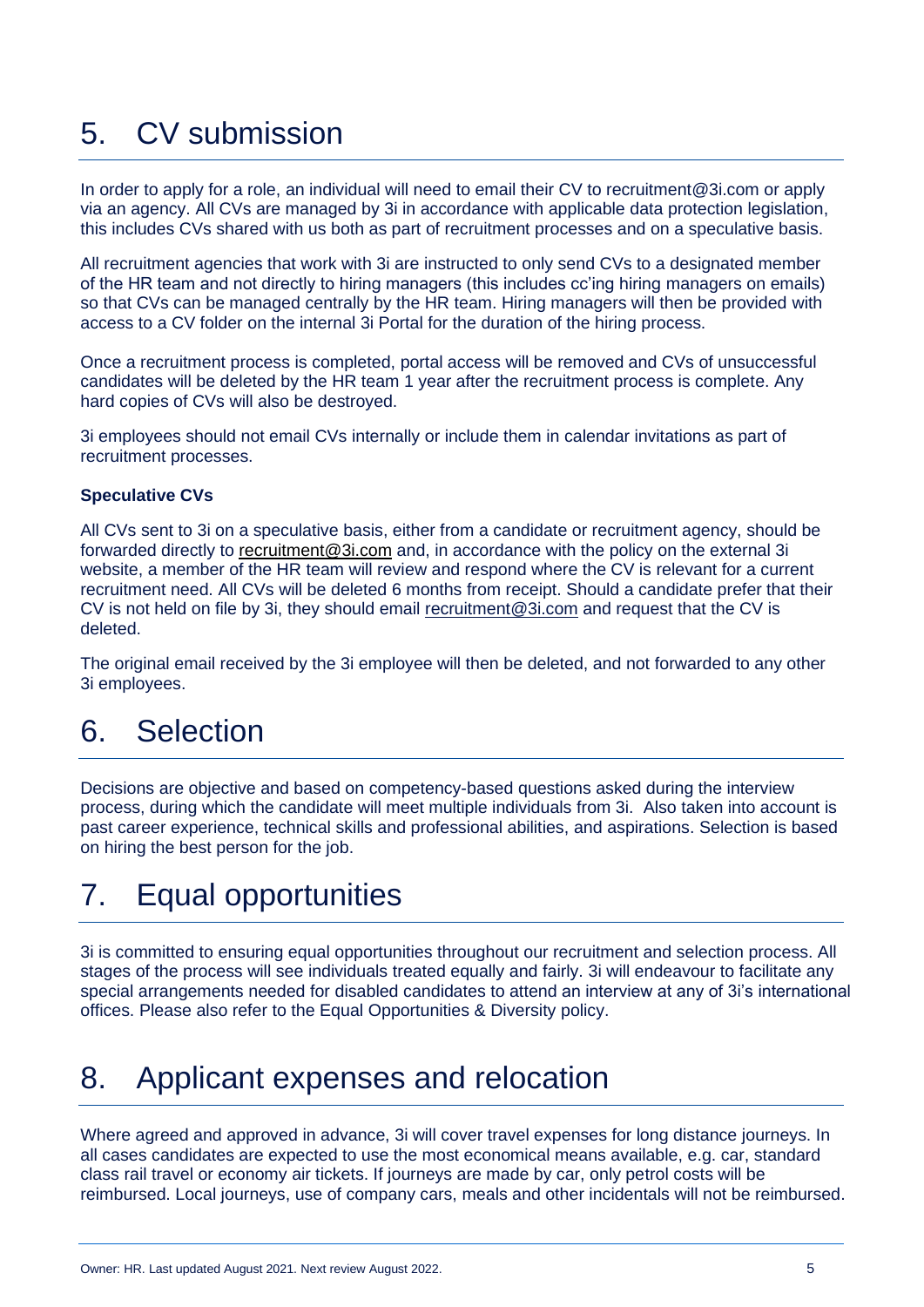# 5. CV submission

In order to apply for a role, an individual will need to email their CV to [recruitment@3i.com](mailto:recruitment@3i.com) or apply via an agency. All CVs are managed by 3i in accordance with applicable data protection legislation, this includes CVs shared with us both as part of recruitment processes and on a speculative basis.

All recruitment agencies that work with 3i are instructed to only send CVs to a designated member of the HR team and not directly to hiring managers (this includes cc'ing hiring managers on emails) so that CVs can be managed centrally by the HR team. Hiring managers will then be provided with access to a CV folder on the internal 3i Portal for the duration of the hiring process.

Once a recruitment process is completed, portal access will be removed and CVs of unsuccessful candidates will be deleted by the HR team 1 year after the recruitment process is complete. Any hard copies of CVs will also be destroyed.

3i employees should not email CVs internally or include them in calendar invitations as part of recruitment processes.

#### **Speculative CVs**

All CVs sent to 3i on a speculative basis, either from a candidate or recruitment agency, should be forwarded directly to [recruitment@3i.com](mailto:recrutiment@3i.com) and, in accordance with the policy on the external 3i website, a member of the HR team will review and respond where the CV is relevant for a current recruitment need. All CVs will be deleted 6 months from receipt. Should a candidate prefer that their CV is not held on file by 3i, they should email [recruitment@3i.com](mailto:recruitment@3i.com) and request that the CV is deleted.

The original email received by the 3i employee will then be deleted, and not forwarded to any other 3i employees.

#### 6. Selection

Decisions are objective and based on competency-based questions asked during the interview process, during which the candidate will meet multiple individuals from 3i. Also taken into account is past career experience, technical skills and professional abilities, and aspirations. Selection is based on hiring the best person for the job.

#### 7. Equal opportunities

3i is committed to ensuring equal opportunities throughout our recruitment and selection process. All stages of the process will see individuals treated equally and fairly. 3i will endeavour to facilitate any special arrangements needed for disabled candidates to attend an interview at any of 3i's international offices. Please also refer to the Equal Opportunities & Diversity policy.

# 8. Applicant expenses and relocation

Where agreed and approved in advance, 3i will cover travel expenses for long distance journeys. In all cases candidates are expected to use the most economical means available, e.g. car, standard class rail travel or economy air tickets. If journeys are made by car, only petrol costs will be reimbursed. Local journeys, use of company cars, meals and other incidentals will not be reimbursed.